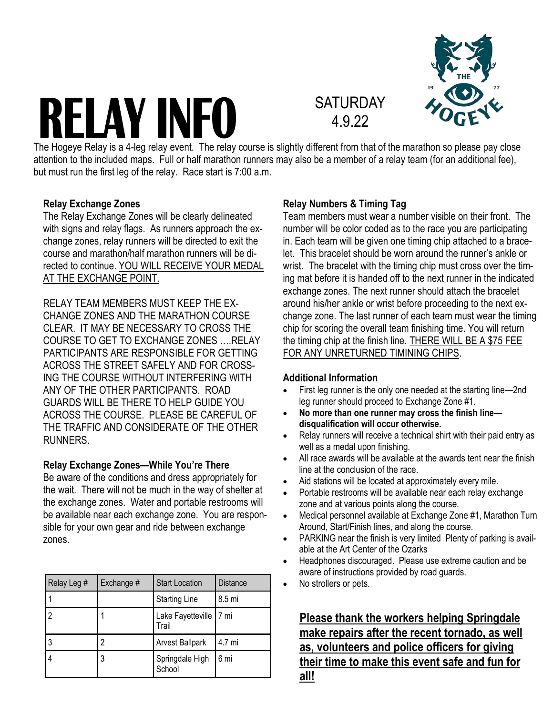# **RELAY INFO**



## **SATURDAY** 4.9.22

The Hogeye Relay is a 4-leg relay event. The relay course is slightly different from that of the marathon so please pay close attention to the included maps. Full or half marathon runners may also be a member of a relay team (for an additional fee), but must run the first leg of the relay. Race start is 7:00 a.m.

#### **Relay Exchange Zones**

The Relay Exchange Zones will be clearly delineated with signs and relay flags. As runners approach the exchange zones, relay runners will be directed to exit the course and marathon/half marathon runners will be directed to continue. YOU WILL RECEIVE YOUR MEDAL AT THE EXCHANGE POINT.

RELAY TEAM MEMBERS MUST KEEP THE EX-CHANGE ZONES AND THE MARATHON COURSE CLEAR. IT MAY BE NECESSARY TO CROSS THE COURSE TO GET TO EXCHANGE ZONES ….RELAY PARTICIPANTS ARE RESPONSIBLE FOR GETTING ACROSS THE STREET SAFELY AND FOR CROSS-ING THE COURSE WITHOUT INTERFERING WITH ANY OF THE OTHER PARTICIPANTS. ROAD GUARDS WILL BE THERE TO HELP GUIDE YOU ACROSS THE COURSE. PLEASE BE CAREFUL OF THE TRAFFIC AND CONSIDERATE OF THE OTHER **RUNNERS** 

#### **Relay Exchange Zones—While You're There**

Be aware of the conditions and dress appropriately for the wait. There will not be much in the way of shelter at the exchange zones. Water and portable restrooms will be available near each exchange zone. You are responsible for your own gear and ride between exchange zones.

| Relay Leg # | Exchange # | <b>Start Location</b>      | <b>Distance</b> |
|-------------|------------|----------------------------|-----------------|
|             |            | <b>Starting Line</b>       | 8.5 mi          |
| 2           |            | Lake Fayetteville<br>Trail | l 7 mi          |
| 3           | 2          | <b>Arvest Ballpark</b>     | 4.7 mi          |
|             | 3          | Springdale High<br>School  | 6 mi            |

#### **Relay Numbers & Timing Tag**

Team members must wear a number visible on their front. The number will be color coded as to the race you are participating in. Each team will be given one timing chip attached to a bracelet. This bracelet should be worn around the runner's ankle or wrist. The bracelet with the timing chip must cross over the timing mat before it is handed off to the next runner in the indicated exchange zones. The next runner should attach the bracelet around his/her ankle or wrist before proceeding to the next exchange zone. The last runner of each team must wear the timing chip for scoring the overall team finishing time. You will return the timing chip at the finish line. THERE WILL BE A \$75 FEE FOR ANY UNRETURNED TIMINING CHIPS.

#### **Additional Information**

- First leg runner is the only one needed at the starting line—2nd leg runner should proceed to Exchange Zone #1.
- **No more than one runner may cross the finish line disqualification will occur otherwise.**
- Relay runners will receive a technical shirt with their paid entry as well as a medal upon finishing.
- All race awards will be available at the awards tent near the finish line at the conclusion of the race.
- Aid stations will be located at approximately every mile.
- Portable restrooms will be available near each relay exchange zone and at various points along the course.
- Medical personnel available at Exchange Zone #1, Marathon Turn Around, Start/Finish lines, and along the course.
- PARKING near the finish is very limited Plenty of parking is available at the Art Center of the Ozarks
- Headphones discouraged. Please use extreme caution and be aware of instructions provided by road guards.
- No strollers or pets.

**Please thank the workers helping Springdale make repairs after the recent tornado, as well as, volunteers and police officers for giving their time to make this event safe and fun for all!**